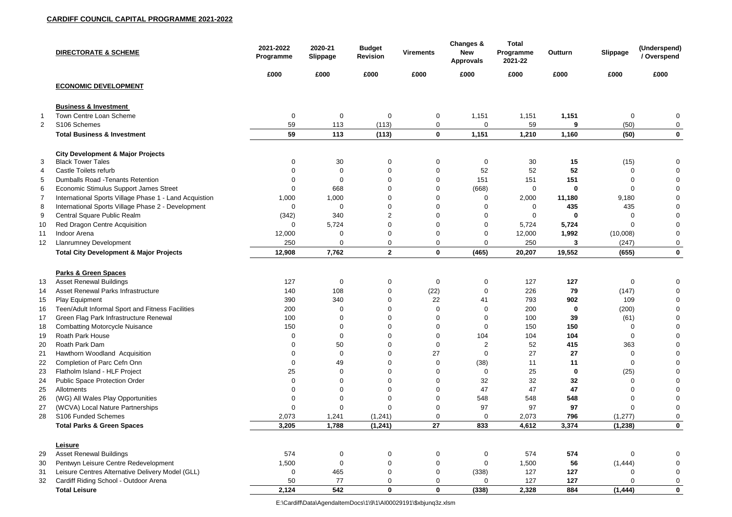|                       | <b>DIRECTORATE &amp; SCHEME</b>                                                            | 2021-2022<br>Programme | 2020-21<br><b>Slippage</b> | <b>Budget</b><br><b>Revision</b> | <b>Virements</b> | Changes &<br><b>New</b><br><b>Approvals</b> | <b>Total</b><br>Programme<br>2021-22 | Outturn           | <b>Slippage</b> | (Underspend)<br>/ Overspend |
|-----------------------|--------------------------------------------------------------------------------------------|------------------------|----------------------------|----------------------------------|------------------|---------------------------------------------|--------------------------------------|-------------------|-----------------|-----------------------------|
|                       |                                                                                            | £000                   | £000                       | £000                             | £000             | £000                                        | £000                                 | £000              | £000            | £000                        |
|                       | <b>ECONOMIC DEVELOPMENT</b>                                                                |                        |                            |                                  |                  |                                             |                                      |                   |                 |                             |
|                       | <b>Business &amp; Investment</b>                                                           |                        |                            |                                  |                  |                                             |                                      |                   |                 |                             |
| $\mathbf 1$           | Town Centre Loan Scheme                                                                    | $\mathbf 0$            | $\mathbf 0$                | $\mathbf 0$                      | $\mathbf 0$      | 1,151                                       | 1,151                                | 1,151             | 0               | 0                           |
| $\mathbf{2}^{\prime}$ | S106 Schemes                                                                               | 59                     | 113                        | (113)                            | 0                | 0                                           | 59                                   | 9                 | (50)            | 0                           |
|                       | <b>Total Business &amp; Investment</b>                                                     | 59                     | 113                        | (113)                            | $\mathbf 0$      | 1,151                                       | 1,210                                | 1,160             | (50)            | $\mathbf 0$                 |
| 3                     | <b>City Development &amp; Major Projects</b><br><b>Black Tower Tales</b>                   | 0                      | 30                         | 0                                | 0                | 0                                           | 30                                   | 15                | (15)            | 0                           |
| 4                     | Castle Toilets refurb                                                                      |                        | $\Omega$                   | 0                                | $\Omega$         | 52                                          | 52                                   | 52                | ი               |                             |
| 5                     | <b>Dumballs Road - Tenants Retention</b>                                                   |                        | $\Omega$                   |                                  |                  | 151                                         | 151                                  | 151               |                 |                             |
| 6                     | <b>Economic Stimulus Support James Street</b>                                              | $\Omega$               | 668                        | $\Omega$                         | $\Omega$         | (668)                                       | $\mathbf 0$                          | 0                 | 0               |                             |
| $\overline{7}$        | International Sports Village Phase 1 - Land Acquistion                                     | 1,000                  | 1,000                      |                                  |                  | 0                                           | 2,000                                | 11,180            | 9,180           |                             |
| 8                     | International Sports Village Phase 2 - Development                                         | 0                      | $\overline{0}$             | $\Omega$                         |                  | 0                                           | 0                                    | 435               | 435             |                             |
| 9                     | Central Square Public Realm                                                                | (342)                  | 340                        | $\overline{2}$                   |                  | 0                                           | 0                                    | 0                 |                 |                             |
| 10                    | Red Dragon Centre Acquisition                                                              | $\mathbf{0}$           | 5,724                      | 0                                | $\Omega$         | 0                                           | 5,724                                | 5,724             | O               |                             |
| 11                    | Indoor Arena                                                                               | 12,000                 | -0                         | 0                                | 0                | 0                                           | 12,000                               | 1,992             | (10,008)        | 0                           |
| 12                    | <b>Llanrumney Development</b>                                                              | 250                    | $\Omega$                   | 0                                | 0                | 0                                           | 250                                  | 3                 | (247)           | 0                           |
|                       | <b>Total City Development &amp; Major Projects</b>                                         | 12,908                 | 7,762                      | $\mathbf{2}$                     | $\mathbf 0$      | (465)                                       | 20,207                               | 19,552            | (655)           | $\mathbf 0$                 |
|                       |                                                                                            |                        |                            |                                  |                  |                                             |                                      |                   |                 |                             |
|                       | <b>Parks &amp; Green Spaces</b>                                                            | 127                    |                            |                                  |                  |                                             | 127                                  | 127               | 0               |                             |
| 13                    | <b>Asset Renewal Buildings</b><br><b>Asset Renewal Parks Infrastructure</b>                |                        | $\mathbf 0$<br>108         | 0                                | $\mathbf 0$      | 0                                           | 226                                  |                   |                 |                             |
| 14                    |                                                                                            | 140                    |                            | 0                                | (22)             | 0                                           |                                      | 79                | (147)           |                             |
| 15                    | Play Equipment                                                                             | 390                    | 340                        | 0<br>$\Omega$                    | 22<br>$\cap$     | 41                                          | 793                                  | 902               | 109             | 0                           |
| 16<br>17              | Teen/Adult Informal Sport and Fitness Facilities<br>Green Flag Park Infrastructure Renewal | 200<br>100             | $\mathbf{0}$               |                                  |                  | O                                           | 200<br>100                           | $\mathbf 0$<br>39 | (200)           |                             |
|                       |                                                                                            | 150                    |                            |                                  |                  |                                             | 150                                  | 150               | (61)            |                             |
| 18<br>19              | <b>Combatting Motorcycle Nuisance</b><br><b>Roath Park House</b>                           |                        | $\Omega$                   | $\Omega$                         |                  | 104                                         | 104                                  | 104               | 0               |                             |
|                       | Roath Park Dam                                                                             |                        |                            |                                  |                  |                                             | 52                                   | 415               | 363             |                             |
| 20                    |                                                                                            |                        | 50<br>$\overline{0}$       |                                  | 27               | O                                           | 27                                   | 27                | O               |                             |
| 21                    | Hawthorn Woodland Acquisition<br>Completion of Parc Cefn Onn                               |                        | 49                         |                                  |                  | (38)                                        | 11                                   | 11                |                 |                             |
| 22                    | Flatholm Island - HLF Project                                                              | 25                     | $\Omega$                   |                                  |                  | U                                           | 25                                   | 0                 |                 |                             |
| 23                    | <b>Public Space Protection Order</b>                                                       |                        |                            |                                  |                  | 32                                          | 32                                   | 32                | (25)            |                             |
| 24<br>25              | Allotments                                                                                 |                        |                            |                                  |                  | 47                                          | 47                                   | 47                |                 |                             |
| 26                    | (WG) All Wales Play Opportunities                                                          |                        |                            |                                  |                  | 548                                         | 548                                  | 548               |                 |                             |
| 27                    | (WCVA) Local Nature Partnerships                                                           | $\Omega$               | $\Omega$                   |                                  |                  | 97                                          | 97                                   | 97                |                 |                             |
| 28                    | S106 Funded Schemes                                                                        | 2,073                  | 1,241                      | (1, 241)                         | $\overline{0}$   |                                             | 2,073                                | 796               | (1, 277)        |                             |
|                       | <b>Total Parks &amp; Green Spaces</b>                                                      | 3,205                  | 1,788                      | (1, 241)                         | 27               | 833                                         | 4,612                                | 3,374             | (1, 238)        | $\mathbf 0$                 |
|                       |                                                                                            |                        |                            |                                  |                  |                                             |                                      |                   |                 |                             |
|                       | Leisure                                                                                    |                        |                            |                                  |                  |                                             |                                      |                   |                 |                             |
| 29                    | <b>Asset Renewal Buildings</b>                                                             | 574                    | 0                          | $\mathbf 0$                      |                  | 0                                           | 574                                  | 574               | O               |                             |
| 30                    | Pentwyn Leisure Centre Redevelopment                                                       | 1,500                  | $\overline{0}$             |                                  |                  | O                                           | 1,500                                | 56                | (1, 444)        |                             |
| 31                    | Leisure Centres Alternative Delivery Model (GLL)                                           | 0                      | 465                        | $\Omega$                         |                  | (338)                                       | 127                                  | 127               |                 |                             |
| 32                    | Cardiff Riding School - Outdoor Arena                                                      | 50                     | 77                         | 0                                | 0                |                                             | 127                                  | 127               |                 |                             |
|                       | <b>Total Leisure</b>                                                                       | 2,124                  | 542                        | $\mathbf 0$                      | $\mathbf 0$      | (338)                                       | 2,328                                | 884               | (1, 444)        | $\mathbf 0$                 |

E:\Cardiff\Data\AgendaItemDocs\1\9\1\AI00029191\\$xbjunq3z.xlsm

| <b>Outturn</b> | <b>Slippage</b> | (Underspend)<br>/ Overspend |
|----------------|-----------------|-----------------------------|
| fuuu           | fuuu            | fuuu                        |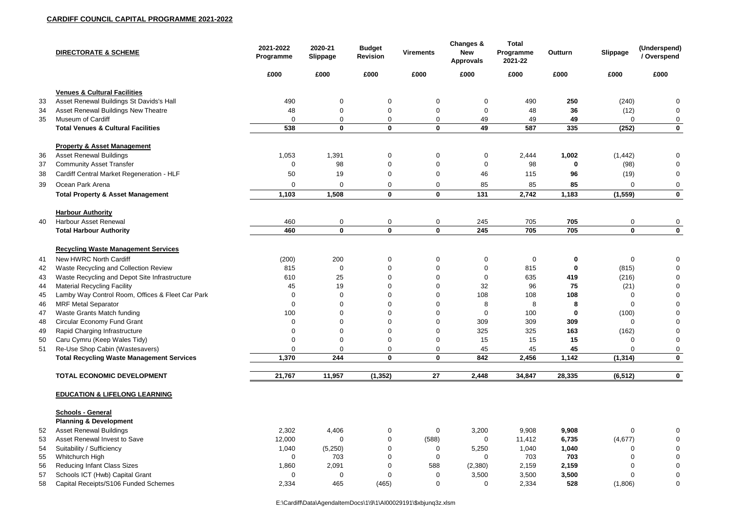|    | <b>DIRECTORATE &amp; SCHEME</b>                                                        | 2021-2022<br>Programme | 2020-21<br>Slippage | <b>Budget</b><br><b>Revision</b> | <b>Virements</b>              | <b>Changes &amp;</b><br><b>New</b><br><b>Approvals</b> | <b>Total</b><br>Programme<br>2021-22 | <b>Outturn</b>   | Slippage          | (Underspend)<br>/ Overspend |
|----|----------------------------------------------------------------------------------------|------------------------|---------------------|----------------------------------|-------------------------------|--------------------------------------------------------|--------------------------------------|------------------|-------------------|-----------------------------|
|    |                                                                                        | £000                   | £000                | £000                             | £000                          | £000                                                   | £000                                 | £000             | £000              | £000                        |
|    | <b>Venues &amp; Cultural Facilities</b>                                                |                        |                     |                                  |                               |                                                        |                                      |                  |                   |                             |
| 33 | Asset Renewal Buildings St Davids's Hall                                               | 490                    | $\mathbf 0$         | $\mathbf 0$                      | 0                             | 0                                                      | 490                                  | 250              | (240)             |                             |
| 34 | Asset Renewal Buildings New Theatre                                                    | 48                     | $\Omega$            | $\mathbf 0$                      | $\mathbf 0$                   | $\overline{0}$                                         | 48                                   | 36               | (12)              |                             |
| 35 | <b>Museum of Cardiff</b>                                                               | 0                      | $\mathbf 0$         | $\mathbf 0$                      | $\mathbf 0$                   | 49                                                     | 49                                   | 49               |                   |                             |
|    | <b>Total Venues &amp; Cultural Facilities</b>                                          | 538                    | $\mathbf 0$         | $\mathbf 0$                      | $\mathbf 0$                   | 49                                                     | 587                                  | 335              | (252)             | $\mathbf 0$                 |
|    | <b>Property &amp; Asset Management</b>                                                 |                        |                     |                                  |                               |                                                        |                                      |                  |                   |                             |
| 36 | <b>Asset Renewal Buildings</b>                                                         | 1,053                  | 1,391               | $\mathbf 0$                      | $\pmb{0}$                     | 0                                                      | 2,444                                | 1,002            | (1, 442)          | 0                           |
| 37 | <b>Community Asset Transfer</b>                                                        | $\Omega$               | 98                  | $\overline{0}$                   | $\mathbf 0$                   | $\Omega$                                               | 98                                   | 0                | (98)              |                             |
| 38 | Cardiff Central Market Regeneration - HLF                                              | 50                     | 19                  | $\mathbf 0$                      | $\mathbf 0$                   | 46                                                     | 115                                  | 96               | (19)              |                             |
| 39 | Ocean Park Arena                                                                       | 0                      | $\overline{0}$      | $\mathbf 0$                      | $\mathbf 0$                   | 85                                                     | 85                                   | 85               | $\Omega$          | 0                           |
|    | <b>Total Property &amp; Asset Management</b>                                           | 1,103                  | 1,508               | $\mathbf 0$                      | $\mathbf 0$                   | 131                                                    | 2,742                                | 1,183            | (1, 559)          | $\mathbf 0$                 |
|    | <b>Harbour Authority</b>                                                               |                        |                     |                                  |                               |                                                        |                                      |                  |                   |                             |
| 40 | <b>Harbour Asset Renewal</b>                                                           | 460                    | $\mathbf 0$         | $\mathbf 0$                      | $\mathbf 0$                   | 245                                                    | 705                                  | 705              | $\mathbf 0$       | 0                           |
|    | <b>Total Harbour Authority</b>                                                         | 460                    | $\mathbf{0}$        | $\mathbf 0$                      | $\mathbf{0}$                  | 245                                                    | 705                                  | 705              | $\mathbf 0$       | $\mathbf 0$                 |
|    | <b>Recycling Waste Management Services</b>                                             |                        |                     |                                  |                               |                                                        |                                      |                  |                   |                             |
|    |                                                                                        |                        |                     |                                  |                               |                                                        |                                      |                  |                   |                             |
| 41 | New HWRC North Cardiff                                                                 | (200)                  | 200                 | $\mathbf 0$                      | 0                             | $\mathbf 0$                                            | $\mathbf 0$                          | $\boldsymbol{0}$ | $\overline{0}$    | $\mathbf 0$                 |
| 42 | Waste Recycling and Collection Review                                                  | 815                    | $\mathbf 0$         | 0                                | $\mathbf 0$                   | $\Omega$                                               | 815                                  | $\mathbf 0$      | (815)             | $\Omega$                    |
| 43 | Waste Recycling and Depot Site Infrastructure                                          | 610<br>45              | 25<br>19            | $\overline{0}$<br>$\Omega$       | $\mathbf 0$<br>$\overline{0}$ | 0<br>32                                                | 635<br>96                            | 419<br>75        | (216)             |                             |
| 44 | <b>Material Recycling Facility</b><br>Lamby Way Control Room, Offices & Fleet Car Park |                        | $\mathbf 0$         | 0                                | $\mathbf 0$                   | 108                                                    | 108                                  | 108              | (21)              |                             |
| 45 |                                                                                        | 0                      | $\mathbf 0$         | $\mathbf 0$                      |                               | 8                                                      | 8                                    | 8                | 0                 | 0                           |
| 46 | <b>MRF Metal Separator</b><br>Waste Grants Match funding                               | 100                    | $\mathbf 0$         | $\Omega$                         | $\mathbf 0$<br>$\mathbf 0$    | $\mathbf 0$                                            | 100                                  | $\mathbf 0$      | 0                 | <sup>0</sup>                |
| 47 |                                                                                        |                        | $\Omega$            | 0                                | 0                             | 309                                                    | 309                                  | 309              | (100)             |                             |
| 48 | <b>Circular Economy Fund Grant</b>                                                     |                        | 0                   | 0                                |                               | 325                                                    | 325                                  | 163              |                   |                             |
| 49 | Rapid Charging Infrastructure<br>Caru Cymru (Keep Wales Tidy)                          |                        | $\Omega$            | $\overline{0}$                   | $\overline{0}$<br>$\mathbf 0$ | 15                                                     | 15                                   | 15               | (162)<br>$\Omega$ |                             |
| 50 | Re-Use Shop Cabin (Wastesavers)                                                        | 0                      | $\Omega$            | $\overline{0}$                   |                               |                                                        | 45                                   | 45               |                   |                             |
| 51 | <b>Total Recycling Waste Management Services</b>                                       | 1,370                  | 244                 | $\mathbf 0$                      | $\overline{0}$<br>$\mathbf 0$ | 45<br>842                                              | 2,456                                | 1,142            |                   | $\mathbf 0$                 |
|    |                                                                                        |                        |                     |                                  |                               |                                                        |                                      |                  | (1, 314)          |                             |
|    | <b>TOTAL ECONOMIC DEVELOPMENT</b>                                                      | 21,767                 | 11,957              | (1, 352)                         | 27                            | 2,448                                                  | 34,847                               | 28,335           | (6, 512)          | 0                           |
|    | <b>EDUCATION &amp; LIFELONG LEARNING</b>                                               |                        |                     |                                  |                               |                                                        |                                      |                  |                   |                             |
|    | <b>Schools - General</b>                                                               |                        |                     |                                  |                               |                                                        |                                      |                  |                   |                             |
|    | <b>Planning &amp; Development</b>                                                      |                        |                     |                                  |                               |                                                        |                                      |                  |                   |                             |
| 52 | <b>Asset Renewal Buildings</b>                                                         | 2,302                  | 4,406               | 0                                | $\overline{0}$                | 3,200                                                  | 9,908                                | 9,908            | $\Omega$          | $\Omega$                    |
| 53 | Asset Renewal Invest to Save                                                           | 12,000                 | $\Omega$            | 0                                | (588)                         | $\mathbf 0$                                            | 11,412                               | 6,735            | (4, 677)          |                             |
| 54 | Suitability / Sufficiency                                                              | 1,040                  | (5,250)             |                                  | 0                             | 5,250                                                  | 1,040                                | 1,040            |                   |                             |
| 55 | Whitchurch High                                                                        | 0                      | 703                 |                                  | $\overline{0}$                | $\Omega$                                               | 703                                  | 703              |                   |                             |
| 56 | <b>Reducing Infant Class Sizes</b>                                                     | 1,860                  | 2,091               | 0                                | 588                           | (2,380)                                                | 2,159                                | 2,159            | O                 |                             |
| 57 | Schools ICT (Hwb) Capital Grant                                                        | 0                      | $\mathbf 0$         | 0                                | $\mathbf 0$                   | 3,500                                                  | 3,500                                | 3,500            |                   |                             |
| 58 | Capital Receipts/S106 Funded Schemes                                                   | 2,334                  | 465                 | (465)                            | $\mathbf 0$                   | $\mathbf 0$                                            | 2,334                                | 528              | (1,806)           | $\mathbf 0$                 |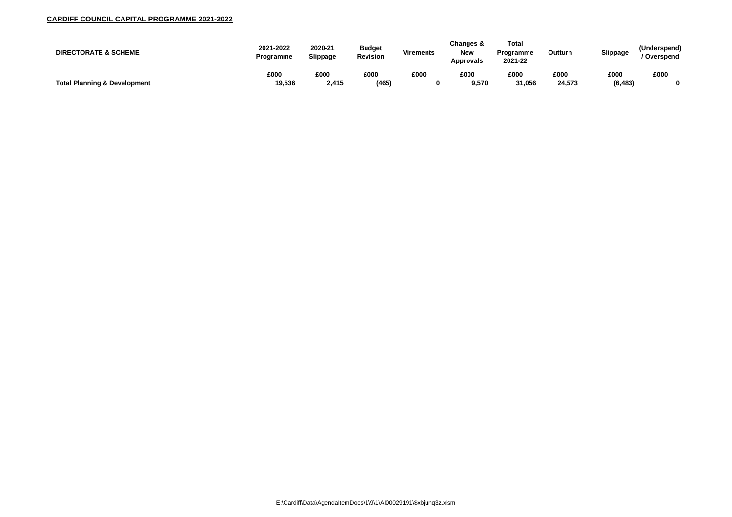| <b>DIRECTORATE &amp; SCHEME</b>         | 2021-2022<br>Programme | 2020-21<br><b>Slippage</b> | <b>Budget</b><br><b>Revision</b> | <b>Virements</b> | Changes &<br><b>New</b><br><b>Approvals</b> | <b>Total</b><br><b>Programme</b><br>2021-22 | Outturn | <b>Slippage</b> | (Underspend<br>Overspend |
|-----------------------------------------|------------------------|----------------------------|----------------------------------|------------------|---------------------------------------------|---------------------------------------------|---------|-----------------|--------------------------|
|                                         | £000                   | £000                       | £000                             | £000             | £000                                        | £000                                        | £000    | £000            | £000                     |
| <b>Total Planning &amp; Development</b> | 19,536                 | 2,415                      | (465)                            |                  | 9,570                                       | 31,056                                      | 24,573  | (6, 483)        |                          |

| Outturn | <b>Slippage</b> | (Underspend)<br>/ Overspend |
|---------|-----------------|-----------------------------|
| £000    | £000            | £000                        |
| 24,573  | (6, 483)        |                             |
|         |                 |                             |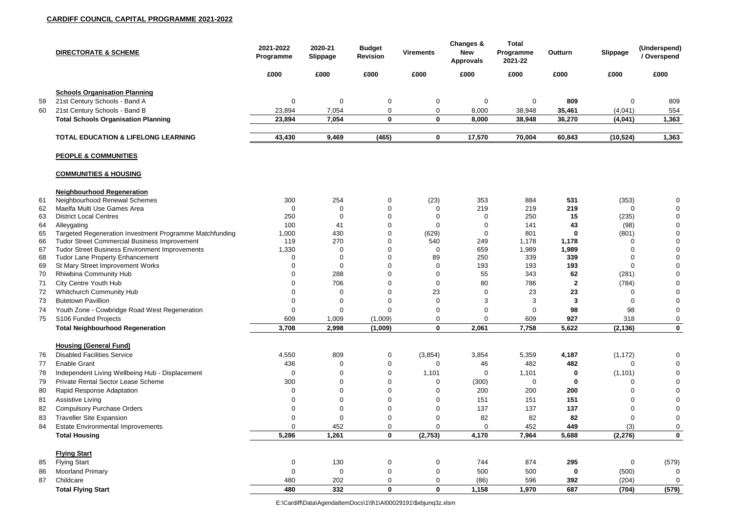|          | <b>DIRECTORATE &amp; SCHEME</b>                              | 2021-2022<br>Programme | 2020-21<br><b>Slippage</b> | <b>Budget</b><br><b>Revision</b> | <b>Virements</b> | <b>Changes &amp;</b><br><b>New</b><br><b>Approvals</b> | <b>Total</b><br>Programme<br>2021-22 | Outturn      | <b>Slippage</b>   | (Underspend)<br>/ Overspend |
|----------|--------------------------------------------------------------|------------------------|----------------------------|----------------------------------|------------------|--------------------------------------------------------|--------------------------------------|--------------|-------------------|-----------------------------|
|          |                                                              | £000                   | £000                       | £000                             | £000             | £000                                                   | £000                                 | £000         | £000              | £000                        |
|          | <b>Schools Organisation Planning</b>                         |                        |                            |                                  |                  |                                                        |                                      |              |                   |                             |
| 59       | 21st Century Schools - Band A                                | $\mathbf 0$            | $\overline{0}$             | $\mathbf 0$                      | $\mathbf 0$      | 0                                                      | 0                                    | 809          | $\Omega$          | 809                         |
| 60       | 21st Century Schools - Band B                                | 23,894                 | 7,054                      | $\Omega$                         | $\mathbf 0$      | 8,000                                                  | 38,948                               | 35,461       | (4,041)           | 554                         |
|          | <b>Total Schools Organisation Planning</b>                   | 23,894                 | 7,054                      | $\mathbf 0$                      | $\mathbf 0$      | 8,000                                                  | 38,948                               | 36,270       | (4,041)           | 1,363                       |
|          | <b>TOTAL EDUCATION &amp; LIFELONG LEARNING</b>               | 43,430                 | 9,469                      | (465)                            | $\mathbf 0$      | 17,570                                                 | 70,004                               | 60,843       | (10, 524)         | 1,363                       |
|          | <b>PEOPLE &amp; COMMUNITIES</b>                              |                        |                            |                                  |                  |                                                        |                                      |              |                   |                             |
|          | <b>COMMUNITIES &amp; HOUSING</b>                             |                        |                            |                                  |                  |                                                        |                                      |              |                   |                             |
|          | <b>Neighbourhood Regeneration</b>                            |                        |                            |                                  |                  |                                                        |                                      |              |                   |                             |
| 61       | Neighbourhood Renewal Schemes                                | 300                    | 254                        | $\mathbf 0$                      | (23)             | 353                                                    | 884                                  | 531          | (353)             | 0                           |
| 62<br>63 | Maelfa Multi Use Games Area<br><b>District Local Centres</b> | $\Omega$<br>250        | 0<br>-0                    | $\mathbf 0$<br>$\mathbf 0$       |                  | 219<br>0                                               | 219<br>250                           | 219<br>15    | $\Omega$<br>(235) |                             |
| 64       | Alleygating                                                  | 100                    | 41                         | 0                                |                  | 0                                                      | 141                                  | 43           | (98)              | ∩                           |
| 65       | Targeted Regeneration Investment Programme Matchfunding      | 1,000                  | 430                        | 0                                | (629)            | 0                                                      | 801                                  | 0            | (801)             |                             |
| 66       | <b>Tudor Street Commercial Business Improvement</b>          | 119                    | 270                        | $\Omega$                         | 540              | 249                                                    | 1,178                                | 1,178        |                   |                             |
| 67       | <b>Tudor Street Business Environment Improvements</b>        | 1,330                  | 0                          | $\Omega$                         | $\Omega$         | 659                                                    | 1,989                                | 1,989        |                   |                             |
| 68       | <b>Tudor Lane Property Enhancement</b>                       |                        | 0                          | 0                                | 89               | 250                                                    | 339                                  | 339          |                   |                             |
| 69       | St Mary Street Improvement Works                             |                        | $\overline{0}$             | 0                                | 0                | 193                                                    | 193                                  | 193          | $\Omega$          |                             |
| 70       | Rhiwbina Community Hub                                       |                        | 288                        | $\Omega$                         | 0                | 55                                                     | 343                                  | 62           | (281)             |                             |
| 71       | <b>City Centre Youth Hub</b>                                 |                        | 706                        | $\Omega$                         | 0                | 80                                                     | 786                                  | $\mathbf{2}$ | (784)             |                             |
| 72       | <b>Whitchurch Community Hub</b>                              |                        | 0                          | $\Omega$                         | 23               | 0                                                      | 23                                   | 23           |                   |                             |
| 73       | <b>Butetown Pavillion</b>                                    |                        | 0                          | 0                                | 0                | 3                                                      | 3                                    |              |                   | 0                           |
| 74       | Youth Zone - Cowbridge Road West Regeneration                | 0                      | $\mathbf 0$                | $\overline{0}$                   | 0                | 0                                                      | $\mathbf 0$                          | 98           | 98                | $\Omega$                    |
| 75       | S106 Funded Projects                                         | 609                    | 1,009                      | (1,009)                          | 0                | 0                                                      | 609                                  | 927          | 318               | 0                           |
|          | <b>Total Neighbourhood Regeneration</b>                      | 3,708                  | 2,998                      | (1,009)                          | $\mathbf 0$      | 2,061                                                  | 7,758                                | 5,622        | (2, 136)          | $\mathbf 0$                 |
|          | <b>Housing (General Fund)</b>                                |                        |                            |                                  |                  |                                                        |                                      |              |                   |                             |
| 76       | <b>Disabled Facilities Service</b>                           | 4,550                  | 809                        | $\overline{0}$                   | (3,854)          | 3,854                                                  | 5,359                                | 4,187        | (1, 172)          |                             |
| 77       | <b>Enable Grant</b>                                          | 436                    | 0                          | $\mathbf 0$                      |                  | 46                                                     | 482                                  | 482          |                   |                             |
| 78       | Independent Living Wellbeing Hub - Displacement              |                        | <sup>0</sup>               | 0                                | 1,101            | 0                                                      | 1,101                                |              | (1, 101)          |                             |
| 79       | <b>Private Rental Sector Lease Scheme</b>                    | 300                    | 0                          | 0                                |                  | (300)                                                  | 0                                    |              |                   |                             |
| 80       | Rapid Response Adaptation                                    |                        |                            | 0                                |                  | 200                                                    | 200                                  | 200          |                   |                             |
| 81       | <b>Assistive Living</b>                                      |                        | <sup>0</sup>               | 0                                |                  | 151                                                    | 151                                  | 151          |                   |                             |
| 82       | <b>Compulsory Purchase Orders</b>                            |                        |                            | 0                                |                  | 137                                                    | 137                                  | 137          |                   |                             |
| 83       | <b>Traveller Site Expansion</b>                              |                        | $\Omega$                   | $\mathbf 0$                      |                  | 82                                                     | 82                                   | 82           |                   |                             |
| 84       | <b>Estate Environmental Improvements</b>                     |                        | 452                        | 0                                |                  | 0                                                      | 452                                  | 449          | (3)               | 0                           |
|          | <b>Total Housing</b>                                         | 5,286                  | 1,261                      | $\mathbf 0$                      | (2,753)          | 4,170                                                  | 7,964                                | 5,688        | (2, 276)          | $\mathbf 0$                 |
|          | <b>Flying Start</b>                                          |                        |                            |                                  |                  |                                                        |                                      |              |                   |                             |
| 85       | <b>Flying Start</b>                                          | 0                      | 130                        | $\mathbf 0$                      | $\mathbf 0$      | 744                                                    | 874                                  | 295          | 0                 | (579)                       |
| 86       | <b>Moorland Primary</b>                                      | 0                      | $\mathbf 0$                | $\mathbf 0$                      |                  | 500                                                    | 500                                  |              | (500)             | 0                           |
| 87       | Childcare                                                    | 480                    | 202                        | 0                                | 0                | (86)                                                   | 596                                  | 392          | (204)             | 0                           |
|          | <b>Total Flying Start</b>                                    | 480                    | 332                        | $\mathbf 0$                      | $\mathbf 0$      | 1,158                                                  | 1,970                                | 687          | (704)             | (579)                       |

E:\Cardiff\Data\AgendaItemDocs\1\9\1\AI00029191\\$xbjunq3z.xlsm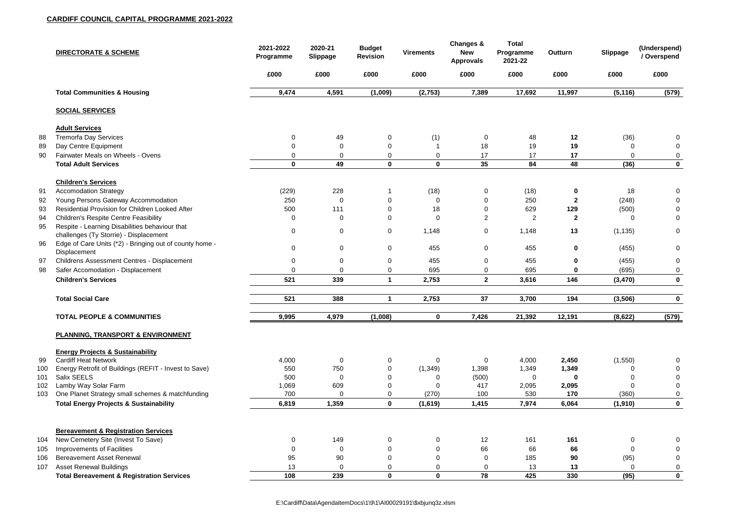|     | <b>DIRECTORATE &amp; SCHEME</b>                                                          | 2021-2022<br>Programme | 2020-21<br><b>Slippage</b> | <b>Budget</b><br><b>Revision</b> | <b>Virements</b> | Changes &<br><b>New</b><br><b>Approvals</b> | <b>Total</b><br>Programme<br>2021-22 | Outturn      | Slippage | (Underspend)<br>/ Overspend |
|-----|------------------------------------------------------------------------------------------|------------------------|----------------------------|----------------------------------|------------------|---------------------------------------------|--------------------------------------|--------------|----------|-----------------------------|
|     |                                                                                          | £000                   | £000                       | £000                             | £000             | £000                                        | £000                                 | £000         | £000     | £000                        |
|     | <b>Total Communities &amp; Housing</b>                                                   | 9,474                  | 4,591                      | (1,009)                          | (2,753)          | 7,389                                       | 17,692                               | 11,997       | (5, 116) | (579)                       |
|     | <b>SOCIAL SERVICES</b>                                                                   |                        |                            |                                  |                  |                                             |                                      |              |          |                             |
|     | <b>Adult Services</b>                                                                    |                        |                            |                                  |                  |                                             |                                      |              |          |                             |
| 88  | <b>Tremorfa Day Services</b>                                                             | $\mathbf 0$            | 49                         | $\mathbf 0$                      | (1)              | 0                                           | 48                                   | 12           | (36)     | 0                           |
| 89  | Day Centre Equipment                                                                     |                        | $\overline{0}$             | $\mathbf 0$                      |                  | 18                                          | 19                                   | 19           |          | 0                           |
| 90  | Fairwater Meals on Wheels - Ovens                                                        |                        | 0                          | $\overline{0}$                   | 0                | 17                                          | 17                                   | 17           |          | 0                           |
|     | <b>Total Adult Services</b>                                                              | $\mathbf 0$            | 49                         | $\mathbf 0$                      | $\mathbf 0$      | 35                                          | 84                                   | 48           | (36)     | $\boldsymbol{0}$            |
|     | <b>Children's Services</b>                                                               |                        |                            |                                  |                  |                                             |                                      |              |          |                             |
| 91  | <b>Accomodation Strategy</b>                                                             | (229)                  | 228                        |                                  | (18)             | 0                                           | (18)                                 | $\mathbf 0$  | 18       | $\mathbf 0$                 |
| 92  | Young Persons Gateway Accommodation                                                      | 250                    | $\overline{0}$             | $\overline{0}$                   | 0                | 0                                           | 250                                  | $\mathbf{2}$ | (248)    | 0                           |
| 93  | Residential Provision for Children Looked After                                          | 500                    | 111                        | 0                                | 18               | 0                                           | 629                                  | 129          | (500)    | $\mathbf 0$                 |
| 94  | <b>Children's Respite Centre Feasibility</b>                                             | 0                      | $\mathbf 0$                | $\overline{0}$                   | $\mathbf 0$      | 2                                           | 2                                    | $\mathbf{2}$ |          | $\mathbf 0$                 |
| 95  | Respite - Learning Disabilities behaviour that<br>challenges (Ty Storrie) - Displacement | $\mathbf 0$            | $\mathbf 0$                | $\overline{0}$                   | 1,148            | 0                                           | 1,148                                | 13           | (1, 135) | $\mathbf 0$                 |
| 96  | Edge of Care Units (*2) - Bringing out of county home -<br>Displacement                  | $\mathbf 0$            | $\mathbf 0$                | $\mathbf 0$                      | 455              | 0                                           | 455                                  | $\mathbf 0$  | (455)    | $\mathbf 0$                 |
| 97  | Childrens Assessment Centres - Displacement                                              | 0                      | $\mathbf 0$                | $\mathbf 0$                      | 455              | 0                                           | 455                                  | $\mathbf 0$  | (455)    | $\boldsymbol{0}$            |
| 98  | Safer Accomodation - Displacement                                                        |                        | $\overline{0}$             | $\mathbf 0$                      | 695              | 0                                           | 695                                  | $\bf{0}$     | (695)    | $\pmb{0}$                   |
|     | <b>Children's Services</b>                                                               | 521                    | 339                        | 1                                | 2,753            | $\mathbf{2}$                                | 3,616                                | 146          | (3, 470) | $\mathbf 0$                 |
|     |                                                                                          |                        |                            |                                  |                  |                                             |                                      |              |          |                             |
|     | <b>Total Social Care</b>                                                                 | 521                    | 388                        |                                  | 2,753            | 37                                          | 3,700                                | 194          | (3, 506) | $\bf{0}$                    |
|     | <b>TOTAL PEOPLE &amp; COMMUNITIES</b>                                                    | 9,995                  | 4,979                      | (1,008)                          | $\mathbf 0$      | 7,426                                       | 21,392                               | 12,191       | (8,622)  | (579)                       |
|     | PLANNING, TRANSPORT & ENVIRONMENT                                                        |                        |                            |                                  |                  |                                             |                                      |              |          |                             |
|     | <b>Energy Projects &amp; Sustainability</b>                                              |                        |                            |                                  |                  |                                             |                                      |              |          |                             |
| 99  | <b>Cardiff Heat Network</b>                                                              | 4,000                  | $\overline{0}$             | 0                                | 0                | 0                                           | 4,000                                | 2,450        | (1,550)  | 0                           |
| 100 | Energy Retrofit of Buildings (REFIT - Invest to Save)                                    | 550                    | 750                        | $\mathbf 0$                      | (1, 349)         | 1,398                                       | 1,349                                | 1,349        |          |                             |
| 101 | Salix SEELS                                                                              | 500                    | $\overline{0}$             | 0                                |                  | (500)                                       | $\mathbf 0$                          |              |          |                             |
| 102 | Lamby Way Solar Farm                                                                     | 1,069                  | 609                        | 0                                |                  | 417                                         | 2,095                                | 2,095        | ∩        | 0                           |
| 103 | One Planet Strategy small schemes & matchfunding                                         | 700                    | $\Omega$                   | 0                                | (270)            | 100                                         | 530                                  | 170          | (360)    | $\mathbf 0$                 |
|     | <b>Total Energy Projects &amp; Sustainability</b>                                        | 6,819                  | 1,359                      | $\mathbf 0$                      | (1,619)          | 1,415                                       | 7,974                                | 6,064        | (1, 910) | $\mathbf 0$                 |
|     |                                                                                          |                        |                            |                                  |                  |                                             |                                      |              |          |                             |
|     | <b>Bereavement &amp; Registration Services</b>                                           |                        |                            |                                  |                  |                                             |                                      |              |          |                             |
| 104 | New Cemetery Site (Invest To Save)                                                       | $\Omega$               | 149                        | $\overline{0}$                   | 0                | 12                                          | 161                                  | 161          | 0        | 0                           |
| 105 | <b>Improvements of Facilities</b>                                                        |                        | $\overline{0}$             | $\mathbf 0$                      | $\Omega$         | 66                                          | 66                                   | 66           | $\Omega$ |                             |
| 106 | <b>Bereavement Asset Renewal</b>                                                         | 95                     | 90                         | $\overline{0}$                   |                  | 0                                           | 185                                  | 90           | (95)     | 0                           |
| 107 | <b>Asset Renewal Buildings</b>                                                           | 13                     | 0                          | $\mathbf{0}$                     | 0                | 0                                           | 13                                   | 13           | $\Omega$ | $\pmb{0}$                   |
|     | <b>Total Bereavement &amp; Registration Services</b>                                     | 108                    | 239                        | $\mathbf 0$                      | $\mathbf 0$      | 78                                          | 425                                  | 330          | (95)     | $\mathbf 0$                 |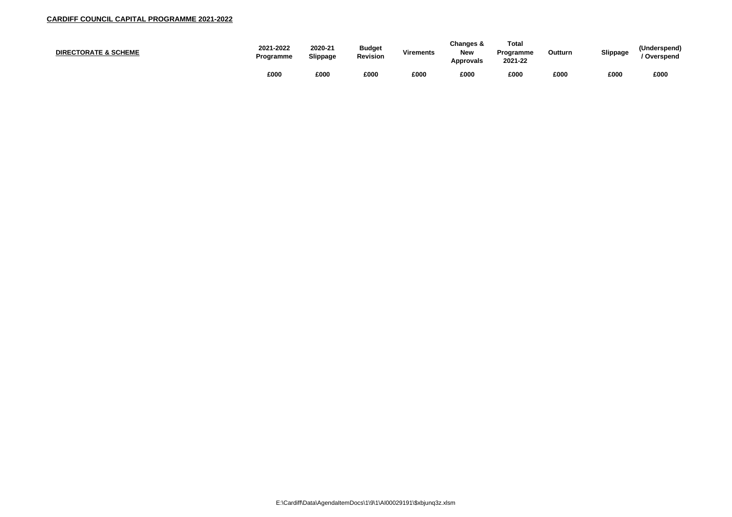| <b>DIRECTORATE &amp; SCHEME</b> | 2021-2022<br><b>Programme</b> | 2020-21<br>Slippage | <b>Budget</b><br><b>Revision</b> | <b>Virements</b> | <b>Changes &amp;</b><br><b>New</b><br><b>Approvals</b> | Total<br><b>Programme</b><br>2021-22 | Outturn | <b>Slippage</b> | 'Undersp<br>Oversp |
|---------------------------------|-------------------------------|---------------------|----------------------------------|------------------|--------------------------------------------------------|--------------------------------------|---------|-----------------|--------------------|
|                                 | £000                          | £000                | £000                             | £000             | £000                                                   | £000                                 | £000    | £000            | £000               |

| <b>Outturn</b> | <b>Slippage</b> | (Underspend)<br>/ Overspend |
|----------------|-----------------|-----------------------------|
| £000           | £000            | £000                        |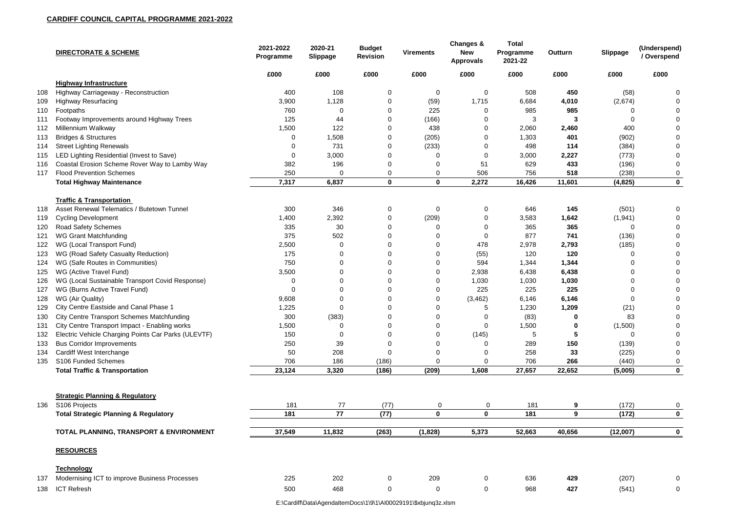|     | <b>DIRECTORATE &amp; SCHEME</b>                                   | 2021-2022<br>Programme | 2020-21<br><b>Slippage</b> | <b>Budget</b><br><b>Revision</b> | <b>Virements</b> | Changes &<br><b>New</b><br><b>Approvals</b> | <b>Total</b><br>Programme<br>2021-22 | Outturn | <b>Slippage</b> | (Underspend)<br>/ Overspend |
|-----|-------------------------------------------------------------------|------------------------|----------------------------|----------------------------------|------------------|---------------------------------------------|--------------------------------------|---------|-----------------|-----------------------------|
|     |                                                                   | £000                   | £000                       | £000                             | £000             | £000                                        | £000                                 | £000    | £000            | £000                        |
|     | <b>Highway Infrastructure</b>                                     |                        |                            |                                  |                  |                                             |                                      |         |                 |                             |
| 108 | Highway Carriageway - Reconstruction                              | 400                    | 108                        | 0                                | 0                | 0                                           | 508                                  | 450     | (58)            |                             |
| 109 | <b>Highway Resurfacing</b>                                        | 3,900                  | 1,128                      |                                  | (59)             | 1,715                                       | 6,684                                | 4,010   | (2,674)         |                             |
| 110 | Footpaths                                                         | 760                    | 0                          | $\Omega$                         | 225              | 0                                           | 985                                  | 985     |                 |                             |
| 111 | Footway Improvements around Highway Trees                         | 125                    | 44                         | 0                                | (166)            |                                             | 3                                    |         |                 |                             |
| 112 | Millennium Walkway                                                | 1,500                  | 122                        | 0                                | 438              | 0                                           | 2,060                                | 2,460   | 400             |                             |
| 113 | <b>Bridges &amp; Structures</b>                                   | 0                      | 1,508                      |                                  | (205)            | 0                                           | 1,303                                | 401     | (902)           |                             |
| 114 | <b>Street Lighting Renewals</b>                                   | 0                      | 731                        | 0                                | (233)            | 0                                           | 498                                  | 114     | (384)           |                             |
| 115 | LED Lighting Residential (Invest to Save)                         | 0                      | 3,000                      | $\Omega$                         |                  | 0                                           | 3,000                                | 2,227   | (773)           |                             |
| 116 | Coastal Erosion Scheme Rover Way to Lamby Way                     | 382                    | 196                        | $\Omega$                         |                  | 51                                          | 629                                  | 433     | (196)           | 0                           |
| 117 | <b>Flood Prevention Schemes</b>                                   | 250                    | $\overline{0}$             | $\Omega$                         | $\mathbf 0$      | 506                                         | 756                                  | 518     | (238)           | $\mathbf 0$                 |
|     | <b>Total Highway Maintenance</b>                                  | 7,317                  | 6,837                      | $\mathbf 0$                      | $\mathbf 0$      | 2,272                                       | 16,426                               | 11,601  | (4, 825)        | $\mathbf 0$                 |
|     | <b>Traffic &amp; Transportation</b>                               |                        |                            |                                  |                  |                                             |                                      |         |                 |                             |
| 118 | Asset Renewal Telematics / Butetown Tunnel                        | 300                    | 346                        | $\overline{0}$                   | $\mathbf 0$      | 0                                           | 646                                  | 145     | (501)           | $\Omega$                    |
| 119 | <b>Cycling Development</b>                                        | 1,400                  | 2,392                      | 0                                | (209)            | 0                                           | 3,583                                | 1,642   | (1, 941)        | 0                           |
| 120 | <b>Road Safety Schemes</b>                                        | 335                    | 30                         | $\Omega$                         |                  | 0                                           | 365                                  | 365     |                 |                             |
| 121 | <b>WG Grant Matchfunding</b>                                      | 375                    | 502                        | $\Omega$                         |                  | 0                                           | 877                                  | 741     | (136)           |                             |
| 122 | WG (Local Transport Fund)                                         | 2,500                  | 0                          | 0                                |                  | 478                                         | 2,978                                | 2,793   | (185)           |                             |
| 123 | WG (Road Safety Casualty Reduction)                               | 175                    | 0                          | $\Omega$                         |                  | (55)                                        | 120                                  | 120     |                 |                             |
| 124 | WG (Safe Routes in Communities)                                   | 750                    | $\overline{0}$             | $\Omega$                         |                  | 594                                         | 1,344                                | 1,344   |                 |                             |
| 125 | WG (Active Travel Fund)                                           | 3,500                  | $\Omega$                   | $\Omega$                         |                  | 2,938                                       | 6,438                                | 6,438   |                 |                             |
| 126 | WG (Local Sustainable Transport Covid Response)                   | 0                      | 0                          | $\Omega$                         |                  | 1,030                                       | 1,030                                | 1,030   |                 |                             |
| 127 | WG (Burns Active Travel Fund)                                     | $\Omega$               | $\Omega$                   | $\Omega$                         |                  | 225                                         | 225                                  | 225     |                 |                             |
| 128 | WG (Air Quality)                                                  | 9,608                  |                            |                                  |                  | (3, 462)                                    | 6,146                                | 6,146   |                 |                             |
| 129 | City Centre Eastside and Canal Phase 1                            | 1,225                  | <sup>n</sup>               | $\Omega$                         |                  |                                             | 1,230                                | 1,209   | (21)            | $\Omega$                    |
| 130 | <b>City Centre Transport Schemes Matchfunding</b>                 | 300                    | (383)                      | 0                                | $\Omega$         | 0                                           | (83)                                 | 0       | 83              | 0                           |
| 131 | City Centre Transport Impact - Enabling works                     | 1,500                  | 0                          | $\Omega$                         |                  | 0                                           | 1,500                                | 0       | (1,500)         | 0                           |
| 132 | Electric Vehicle Charging Points Car Parks (ULEVTF)               | 150                    | 0                          | 0                                |                  | (145)                                       | 5                                    |         |                 |                             |
| 133 | <b>Bus Corridor Improvements</b>                                  | 250                    | 39                         | 0                                |                  |                                             | 289                                  | 150     | (139)           |                             |
| 134 | Cardiff West Interchange                                          | 50                     | 208                        | $\Omega$                         |                  |                                             | 258                                  | 33      | (225)           | 0                           |
| 135 | S106 Funded Schemes                                               | 706                    | 186                        | (186)                            |                  |                                             | 706                                  | 266     | (440)           | 0                           |
|     | <b>Total Traffic &amp; Transportation</b>                         | 23,124                 | 3,320                      | (186)                            | (209)            | 1,608                                       | 27,657                               | 22,652  | (5,005)         | $\mathbf 0$                 |
|     |                                                                   |                        |                            |                                  |                  |                                             |                                      |         |                 |                             |
|     | <b>Strategic Planning &amp; Regulatory</b>                        |                        |                            |                                  |                  |                                             |                                      |         |                 |                             |
| 136 | S106 Projects<br><b>Total Strategic Planning &amp; Regulatory</b> | 181<br>181             | 77<br>77                   | (77)<br>(77)                     | 0<br>$\mathbf 0$ | $\overline{0}$<br>$\mathbf{0}$              | 181<br>181                           | 9<br>9  | (172)<br>(172)  | 0<br>$\mathbf 0$            |
|     |                                                                   |                        |                            |                                  |                  |                                             |                                      |         |                 |                             |
|     | TOTAL PLANNING, TRANSPORT & ENVIRONMENT                           | 37,549                 | 11,832                     | (263)                            | (1,828)          | 5,373                                       | 52,663                               | 40,656  | (12,007)        | $\mathbf 0$                 |
|     | <b>RESOURCES</b>                                                  |                        |                            |                                  |                  |                                             |                                      |         |                 |                             |
|     | <b>Technology</b>                                                 |                        |                            |                                  |                  |                                             |                                      |         |                 |                             |
| 137 | Modernising ICT to improve Business Processes                     | 225                    | 202                        | 0                                | 209              | 0                                           | 636                                  | 429     | (207)           | 0                           |
| 138 | <b>ICT Refresh</b>                                                | 500                    | 468                        | $\overline{0}$                   | $\mathbf 0$      | 0                                           | 968                                  | 427     | (541)           | 0                           |

E:\Cardiff\Data\AgendaItemDocs\1\9\1\AI00029191\\$xbjunq3z.xlsm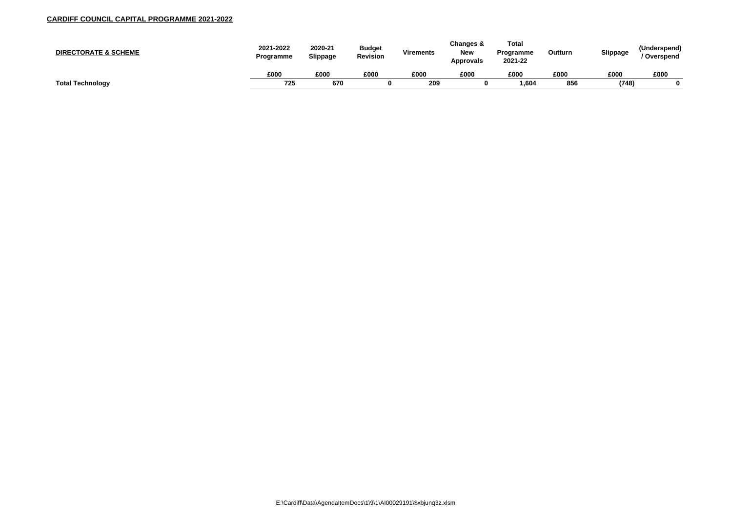| <b>DIRECTORATE &amp; SCHEME</b> | 2021-2022<br><b>Programme</b> | 2020-21<br>Slippage | <b>Budget</b><br><b>Revision</b> | <b>Virements</b> | Changes &<br><b>New</b><br><b>Approvals</b> | <b>Total</b><br><b>Programme</b><br>2021-22 | Outturn | <b>Slippage</b> | (Underspend<br>Overspend |
|---------------------------------|-------------------------------|---------------------|----------------------------------|------------------|---------------------------------------------|---------------------------------------------|---------|-----------------|--------------------------|
|                                 | £000                          | £000                | £000                             | £000             | £000                                        | £000                                        | £000    | £000            | £000                     |
| <b>Total Technology</b>         | 725                           | 670                 |                                  | 209              |                                             | 1,604                                       | 856     | (748)           |                          |

| Outturn | <b>Slippage</b> | (Underspend)<br>/ Overspend |
|---------|-----------------|-----------------------------|
| £000    | £000            | £000                        |
| 856     | (748)           |                             |
|         |                 |                             |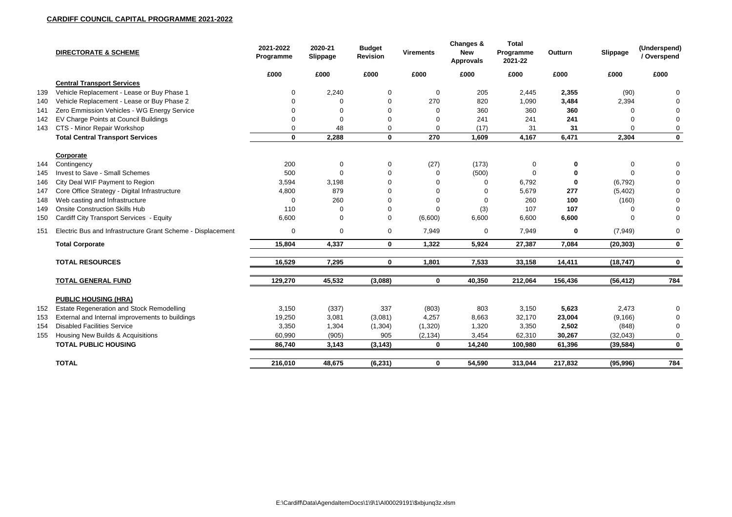|     | <b>DIRECTORATE &amp; SCHEME</b>                             | 2021-2022<br>Programme | 2020-21<br><b>Slippage</b> | <b>Budget</b><br><b>Revision</b> | <b>Virements</b> | <b>Changes &amp;</b><br><b>New</b><br><b>Approvals</b> | <b>Total</b><br>Programme<br>2021-22 | Outturn     | <b>Slippage</b> | (Underspend)<br>/ Overspend |
|-----|-------------------------------------------------------------|------------------------|----------------------------|----------------------------------|------------------|--------------------------------------------------------|--------------------------------------|-------------|-----------------|-----------------------------|
|     |                                                             | £000                   | £000                       | £000                             | £000             | £000                                                   | £000                                 | £000        | £000            | £000                        |
|     | <b>Central Transport Services</b>                           |                        |                            |                                  |                  |                                                        |                                      |             |                 |                             |
| 139 | Vehicle Replacement - Lease or Buy Phase 1                  |                        | 2,240                      | 0                                | 0                | 205                                                    | 2,445                                | 2,355       | (90)            |                             |
| 140 | Vehicle Replacement - Lease or Buy Phase 2                  |                        | 0                          | 0                                | 270              | 820                                                    | 1,090                                | 3,484       | 2,394           |                             |
| 141 | Zero Emmission Vehicles - WG Energy Service                 |                        | <sup>0</sup>               |                                  | $\Omega$         | 360                                                    | 360                                  | 360         |                 |                             |
| 142 | EV Charge Points at Council Buildings                       |                        | 0                          | $\Omega$                         | 0                | 241                                                    | 241                                  | 241         |                 |                             |
| 143 | CTS - Minor Repair Workshop                                 |                        | 48                         | 0                                | $\mathbf 0$      | (17)                                                   | 31                                   | 31          | 0               | 0                           |
|     | <b>Total Central Transport Services</b>                     | $\mathbf 0$            | 2,288                      | $\mathbf 0$                      | 270              | 1,609                                                  | 4,167                                | 6,471       | 2,304           | $\mathbf 0$                 |
|     | <b>Corporate</b>                                            |                        |                            |                                  |                  |                                                        |                                      |             |                 |                             |
| 144 | Contingency                                                 | 200                    | $\mathbf 0$                | $\mathbf 0$                      | (27)             | (173)                                                  | 0                                    | 0           | $\mathbf 0$     | 0                           |
| 145 | Invest to Save - Small Schemes                              | 500                    | $\overline{0}$             | $\Omega$                         |                  | (500)                                                  | 0                                    |             | $\Omega$        |                             |
| 146 | City Deal WIF Payment to Region                             | 3,594                  | 3,198                      |                                  |                  |                                                        | 6,792                                | $\mathbf 0$ | (6, 792)        |                             |
| 147 | Core Office Strategy - Digital Infrastructure               | 4,800                  | 879                        | 0                                |                  |                                                        | 5,679                                | 277         | (5,402)         |                             |
| 148 | Web casting and Infrastructure                              | $\Omega$               | 260                        |                                  |                  |                                                        | 260                                  | 100         | (160)           |                             |
| 149 | <b>Onsite Construction Skills Hub</b>                       | 110                    | 0                          | 0                                |                  | (3)                                                    | 107                                  | 107         |                 |                             |
| 150 | Cardiff City Transport Services - Equity                    | 6,600                  | $\Omega$                   | $\mathbf 0$                      | (6,600)          | 6,600                                                  | 6,600                                | 6,600       | <sup>0</sup>    | 0                           |
| 151 | Electric Bus and Infrastructure Grant Scheme - Displacement | $\mathbf 0$            | $\mathbf 0$                | $\mathbf 0$                      | 7,949            | $\overline{0}$                                         | 7,949                                | $\mathbf 0$ | (7, 949)        | 0                           |
|     | <b>Total Corporate</b>                                      | 15,804                 | 4,337                      | $\mathbf 0$                      | 1,322            | 5,924                                                  | 27,387                               | 7,084       | (20, 303)       | $\mathbf 0$                 |
|     | <b>TOTAL RESOURCES</b>                                      | 16,529                 | 7,295                      | $\mathbf 0$                      | 1,801            | 7,533                                                  | 33,158                               | 14,411      | (18, 747)       | $\boldsymbol{0}$            |
|     | <b>TOTAL GENERAL FUND</b>                                   | 129,270                | 45,532                     | (3,088)                          | $\mathbf 0$      | 40,350                                                 | 212,064                              | 156,436     | (56, 412)       | 784                         |
|     | <b>PUBLIC HOUSING (HRA)</b>                                 |                        |                            |                                  |                  |                                                        |                                      |             |                 |                             |
| 152 | <b>Estate Regeneration and Stock Remodelling</b>            | 3,150                  | (337)                      | 337                              | (803)            | 803                                                    | 3,150                                | 5,623       | 2,473           |                             |
| 153 | External and Internal improvements to buildings             | 19,250                 | 3,081                      | (3,081)                          | 4,257            | 8,663                                                  | 32,170                               | 23,004      | (9, 166)        | 0                           |
| 154 | <b>Disabled Facilities Service</b>                          | 3,350                  | 1,304                      | (1, 304)                         | (1,320)          | 1,320                                                  | 3,350                                | 2,502       | (848)           | 0                           |
| 155 | <b>Housing New Builds &amp; Acquisitions</b>                | 60,990                 | (905)                      | 905                              | (2, 134)         | 3,454                                                  | 62,310                               | 30,267      | (32, 043)       | 0                           |
|     | <b>TOTAL PUBLIC HOUSING</b>                                 | 86,740                 | 3,143                      | (3, 143)                         | $\mathbf 0$      | 14,240                                                 | 100,980                              | 61,396      | (39, 584)       | $\mathbf 0$                 |
|     | <b>TOTAL</b>                                                | 216,010                | 48,675                     | (6, 231)                         | $\mathbf 0$      | 54,590                                                 | 313,044                              | 217,832     | (95, 996)       | <u>784</u>                  |
|     |                                                             |                        |                            |                                  |                  |                                                        |                                      |             |                 |                             |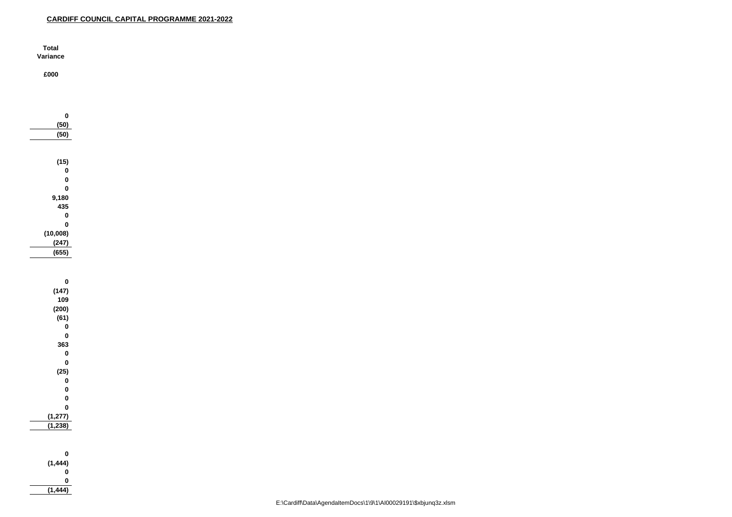| Total    |  |
|----------|--|
| Variance |  |

**£000**

| 0             |
|---------------|
| (50)          |
| (50)          |
|               |
|               |
| (15)          |
| 0             |
| $\mathbf 0$   |
| $\mathbf 0$   |
| 9,180         |
| 435           |
| $\bf{0}$      |
| $\mathbf 0$   |
| (10,008)      |
| (247)         |
| (655)         |
|               |
|               |
| 0             |
| (147)         |
| 109           |
| (200)         |
| (61)          |
| 0<br>$\bf{0}$ |
| 363           |
| $\bf{0}$      |
| $\bf{0}$      |
| (25)          |
| 0             |
| 0             |
| $\bf{0}$      |
| $\mathbf 0$   |
| (1, 277)      |
| (1, 238)      |
|               |
|               |
| 0             |
| (1, 444)      |
| 0             |

**0**

**(1,444)**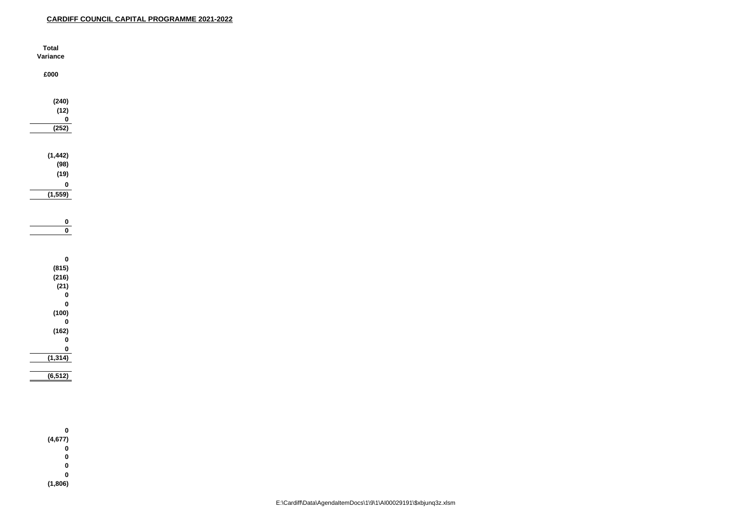| <b>Total</b>            |
|-------------------------|
| Variance                |
|                         |
| £000                    |
|                         |
|                         |
| (240)                   |
| (12)                    |
| $\pmb{0}$               |
| (252)                   |
|                         |
|                         |
| (1, 442)                |
| (98)                    |
| (19)                    |
|                         |
| $\pmb{0}$               |
| (1,559)                 |
|                         |
|                         |
| $\mathbf 0$             |
| $\overline{\mathbf{0}}$ |
|                         |
|                         |
| $\pmb{0}$               |
| (815)                   |
| (216)                   |
| (21)                    |
| $\pmb{0}$               |
| $\pmb{0}$               |
| (100)                   |
| $\pmb{0}$               |
| (162)                   |
| $\pmb{0}$               |
| $\frac{0}{\sqrt{1}}$    |
| (1, 314)                |
|                         |
| (6, 512)                |
|                         |
|                         |
|                         |
|                         |
|                         |
| $\pmb{0}$               |
| (4, 677)                |
| $\pmb{0}$               |
| $\pmb{0}$               |
| $\pmb{0}$               |

**0**

**(1,806)**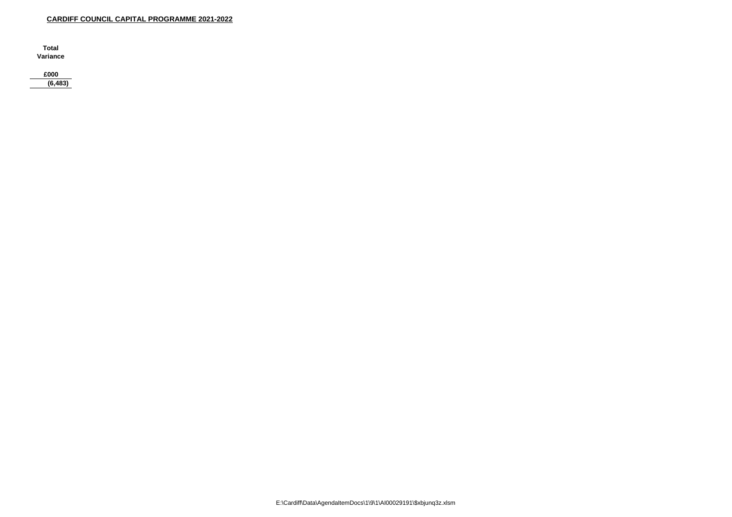**Total** Variance

£000

 $(6, 483)$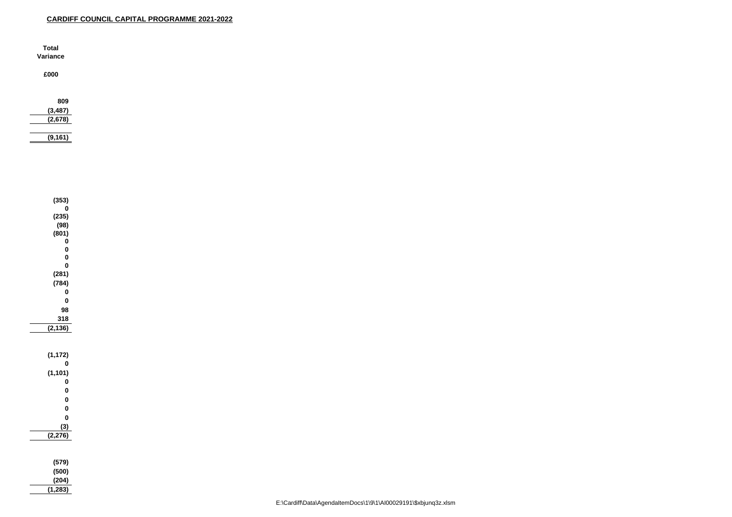| <b>Total</b><br>Variance    |  |  |  |
|-----------------------------|--|--|--|
| £000                        |  |  |  |
| 809<br>(3, 487)<br>(2, 678) |  |  |  |
| (9, 161)                    |  |  |  |

| (353)                               |
|-------------------------------------|
| 0                                   |
| (235)                               |
| (98)                                |
| (801)                               |
| 0<br>O                              |
| 0                                   |
| 0                                   |
| (281)                               |
| (784)                               |
| 0                                   |
| 0                                   |
| 98                                  |
| 318                                 |
| $\overline{(\mathbf{2},}% )$<br>36) |
|                                     |
|                                     |
| (1, 172)                            |
| 0                                   |
| (1, 101)                            |
| O                                   |
| 0                                   |
| 0                                   |
| 0                                   |
| 0                                   |
| (3)                                 |
| (2, 276)                            |
|                                     |
|                                     |
| (579)                               |
| (500)                               |
| (204)                               |

**(1,283)**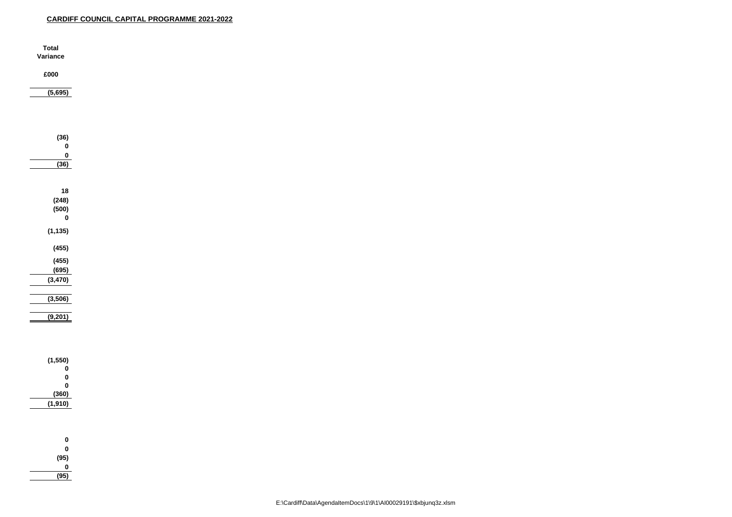| <b>Total</b>            |
|-------------------------|
| Variance                |
|                         |
| £000                    |
| (5,695)                 |
|                         |
|                         |
|                         |
|                         |
| (36)                    |
| $\pmb{0}$               |
| $\pmb{0}$               |
| (36)                    |
|                         |
| $18$                    |
| (248)                   |
| (500)                   |
| $\pmb{0}$               |
| (1, 135)                |
|                         |
| (455)                   |
| (455)                   |
| (695)                   |
| (3, 470)                |
|                         |
| (3,506)                 |
|                         |
| (9,201)                 |
|                         |
|                         |
|                         |
| (1, 550)                |
| $\pmb{0}$               |
| $\bf{0}$                |
| $\pmb{0}$               |
| (360)<br>(1,910)        |
|                         |
|                         |
|                         |
| $\boldsymbol{0}$        |
| $\bf{0}$                |
| $(95)$<br>$0$<br>$(95)$ |
|                         |
|                         |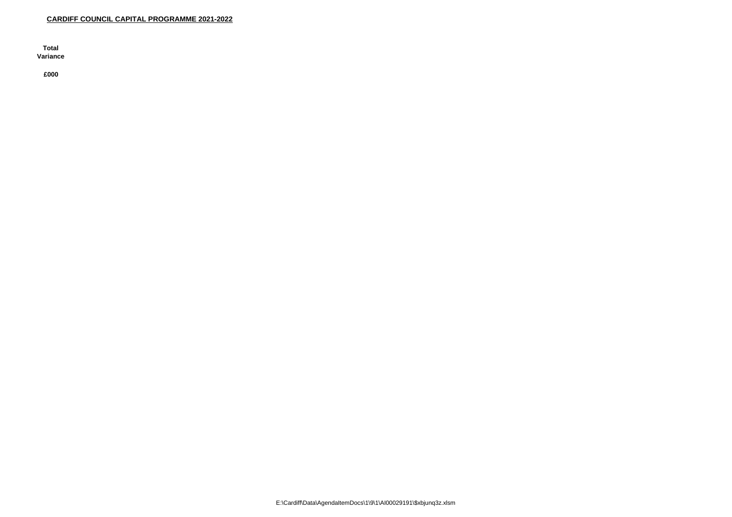**Total** Variance

£000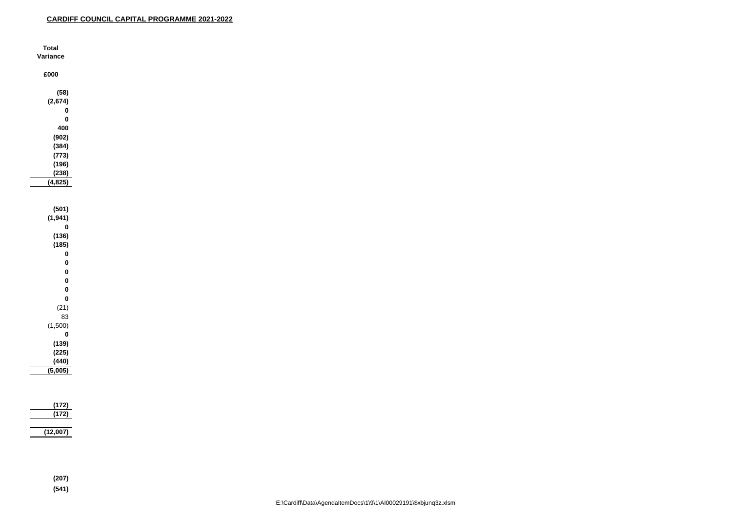| <b>Total</b>     |  |
|------------------|--|
| Variance         |  |
|                  |  |
| £000             |  |
|                  |  |
| (58)             |  |
| (2,674)          |  |
| $\boldsymbol{0}$ |  |
| $\bf{0}$         |  |
| 400              |  |
| (902)            |  |
|                  |  |
| (384)            |  |
| (773)            |  |
| (196)            |  |
| (238)            |  |
| (4, 825)         |  |
|                  |  |
|                  |  |
| (501)            |  |
| (1, 941)         |  |
| $\bf{0}$         |  |
| (136)            |  |
| (185)            |  |
| $\boldsymbol{0}$ |  |
| $\bf{0}$         |  |
| $\bf{0}$         |  |
| $\bf{0}$         |  |
| $\bf{0}$         |  |
| $\bf{0}$         |  |
| (21)             |  |
| 83               |  |
| (1,500)          |  |
| $\bf{0}$         |  |
| (139)            |  |
| (225)            |  |
| (440)            |  |
| (5,005)          |  |
|                  |  |
|                  |  |
|                  |  |
| (172)            |  |
| (172)            |  |
|                  |  |
| (12,007)         |  |
|                  |  |
|                  |  |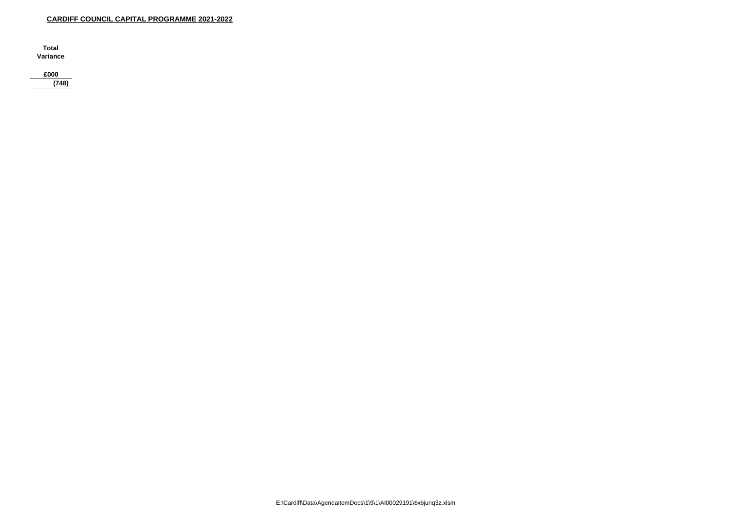**Total** Variance

£000

 $(748)$